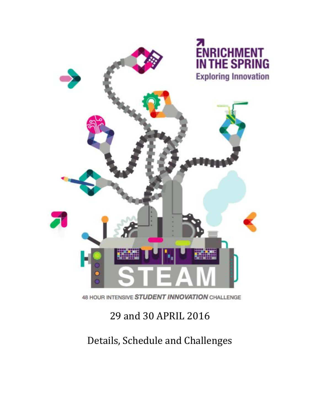

# 29 and 30 APRIL 2016

Details, Schedule and Challenges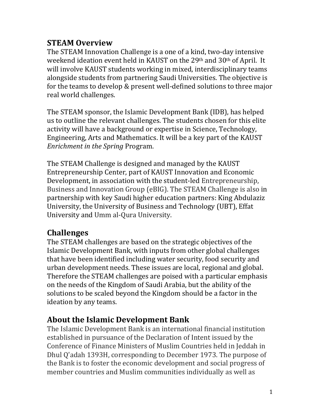#### **STEAM Overview**

The STEAM Innovation Challenge is a one of a kind, two-day intensive weekend ideation event held in KAUST on the 29th and 30th of April. It will involve KAUST students working in mixed, interdisciplinary teams alongside students from partnering Saudi Universities. The objective is for the teams to develop & present well-defined solutions to three major real world challenges.

The STEAM sponsor, the Islamic Development Bank (IDB), has helped us to outline the relevant challenges. The students chosen for this elite activity will have a background or expertise in Science, Technology, Engineering, Arts and Mathematics. It will be a key part of the KAUST *Enrichment in the Spring* Program.

The STEAM Challenge is designed and managed by the KAUST Entrepreneurship Center, part of KAUST Innovation and Economic Development, in association with the student-led Entrepreneurship, Business and Innovation Group (eBIG). The STEAM Challenge is also in partnership with key Saudi higher education partners: King Abdulaziz University, the University of Business and Technology (UBT), Effat University and Umm al-Qura University.

#### **Challenges**

The STEAM challenges are based on the strategic objectives of the Islamic Development Bank, with inputs from other global challenges that have been identified including water security, food security and urban development needs. These issues are local, regional and global. Therefore the STEAM challenges are poised with a particular emphasis on the needs of the Kingdom of Saudi Arabia, but the ability of the solutions to be scaled beyond the Kingdom should be a factor in the ideation by any teams.

#### **About the Islamic Development Bank**

The Islamic Development Bank is an international financial institution established in pursuance of the Declaration of Intent issued by the Conference of Finance Ministers of Muslim Countries held in Jeddah in Dhul Q'adah 1393H, corresponding to December 1973. The purpose of the Bank is to foster the economic development and social progress of member countries and Muslim communities individually as well as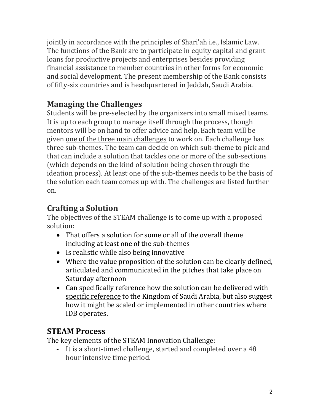jointly in accordance with the principles of Shari'ah i.e., Islamic Law. The functions of the Bank are to participate in equity capital and grant loans for productive projects and enterprises besides providing financial assistance to member countries in other forms for economic and social development. The present membership of the Bank consists of fifty-six countries and is headquartered in Jeddah, Saudi Arabia.

### **Managing the Challenges**

Students will be pre-selected by the organizers into small mixed teams. It is up to each group to manage itself through the process, though mentors will be on hand to offer advice and help. Each team will be given one of the three main challenges to work on. Each challenge has three sub-themes. The team can decide on which sub-theme to pick and that can include a solution that tackles one or more of the sub-sections (which depends on the kind of solution being chosen through the ideation process). At least one of the sub-themes needs to be the basis of the solution each team comes up with. The challenges are listed further on.

#### **Crafting a Solution**

The objectives of the STEAM challenge is to come up with a proposed solution:

- That offers a solution for some or all of the overall theme including at least one of the sub-themes
- Is realistic while also being innovative
- Where the value proposition of the solution can be clearly defined, articulated and communicated in the pitches that take place on Saturday afternoon
- Can specifically reference how the solution can be delivered with specific reference to the Kingdom of Saudi Arabia, but also suggest how it might be scaled or implemented in other countries where IDB operates.

### **STEAM Process**

The key elements of the STEAM Innovation Challenge:

- It is a short-timed challenge, started and completed over a 48 hour intensive time period.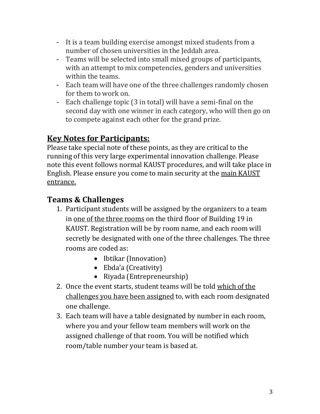- It is a team building exercise amongst mixed students from a number of chosen universities in the Jeddah area.
- Teams will be selected into small mixed groups of participants, with an attempt to mix competencies, genders and universities within the teams.
- Each team will have one of the three challenges randomly chosen for them to work on.
- Each challenge topic (3 in total) will have a semi-final on the second day with one winner in each category, who will then go on to compete against each other for the grand prize.

### **Key Notes for Participants:**

Please take special note of these points, as they are critical to the running of this very large experimental innovation challenge. Please note this event follows normal KAUST procedures, and will take place in English. Please ensure you come to main security at the main KAUST entrance.

#### **Teams & Challenges**

- 1. Participant students will be assigned by the organizers to a team in one of the three rooms on the third floor of Building 19 in KAUST. Registration will be by room name, and each room will secretly be designated with one of the three challenges. The three rooms are coded as:
	- Ibtikar (Innovation)
	- Ebda'a (Creativity)
	- Riyada (Entrepreneurship)
- 2. Once the event starts, student teams will be told which of the challenges you have been assigned to, with each room designated one challenge.
- 3. Each team will have a table designated by number in each room, where you and your fellow team members will work on the assigned challenge of that room. You will be notified which room/table number your team is based at.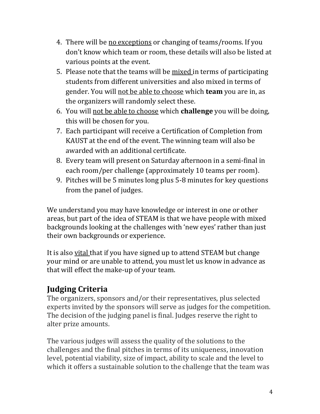- 4. There will be no exceptions or changing of teams/rooms. If you don't know which team or room, these details will also be listed at various points at the event.
- 5. Please note that the teams will be mixed in terms of participating students from different universities and also mixed in terms of gender. You will not be able to choose which **team** you are in, as the organizers will randomly select these.
- 6. You will not be able to choose which **challenge** you will be doing, this will be chosen for you.
- 7. Each participant will receive a Certification of Completion from KAUST at the end of the event. The winning team will also be awarded with an additional certificate.
- 8. Every team will present on Saturday afternoon in a semi-final in each room/per challenge (approximately 10 teams per room).
- 9. Pitches will be 5 minutes long plus 5-8 minutes for key questions from the panel of judges.

We understand you may have knowledge or interest in one or other areas, but part of the idea of STEAM is that we have people with mixed backgrounds looking at the challenges with 'new eyes' rather than just their own backgrounds or experience.

It is also vital that if you have signed up to attend STEAM but change your mind or are unable to attend, you must let us know in advance as that will effect the make-up of your team.

### **Judging Criteria**

The organizers, sponsors and/or their representatives, plus selected experts invited by the sponsors will serve as judges for the competition. The decision of the judging panel is final. Judges reserve the right to alter prize amounts.

The various judges will assess the quality of the solutions to the challenges and the final pitches in terms of its uniqueness, innovation level, potential viability, size of impact, ability to scale and the level to which it offers a sustainable solution to the challenge that the team was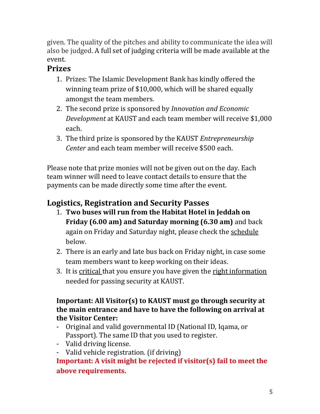given. The quality of the pitches and ability to communicate the idea will also be judged. A full set of judging criteria will be made available at the event.

#### **Prizes**

- 1. Prizes: The Islamic Development Bank has kindly offered the winning team prize of \$10,000, which will be shared equally amongst the team members.
- 2. The second prize is sponsored by *Innovation and Economic Development* at KAUST and each team member will receive \$1,000 each.
- 3. The third prize is sponsored by the KAUST *Entrepreneurship Center* and each team member will receive \$500 each.

Please note that prize monies will not be given out on the day. Each team winner will need to leave contact details to ensure that the payments can be made directly some time after the event.

### **Logistics, Registration and Security Passes**

- 1. **Two buses will run from the Habitat Hotel in Jeddah on Friday (6.00 am) and Saturday morning (6.30 am)** and back again on Friday and Saturday night, please check the schedule below.
- 2. There is an early and late bus back on Friday night, in case some team members want to keep working on their ideas.
- 3. It is critical that you ensure you have given the right information needed for passing security at KAUST.

#### **Important: All Visitor(s) to KAUST must go through security at the main entrance and have to have the following on arrival at the Visitor Center:**

- Original and valid governmental ID (National ID, Iqama, or Passport). The same ID that you used to register.
- Valid driving license.
- Valid vehicle registration. (if driving)

**Important: A visit might be rejected if visitor(s) fail to meet the above requirements.**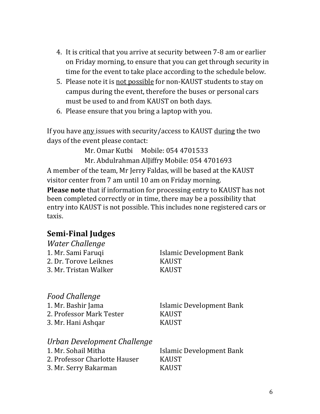- 4. It is critical that you arrive at security between 7-8 am or earlier on Friday morning, to ensure that you can get through security in time for the event to take place according to the schedule below.
- 5. Please note it is not possible for non-KAUST students to stay on campus during the event, therefore the buses or personal cars must be used to and from KAUST on both days.
- 6. Please ensure that you bring a laptop with you.

If you have any issues with security/access to KAUST during the two days of the event please contact:

Mr. Omar Kutbi Mobile: 054 4701533

Mr. Abdulrahman AlJiffry Mobile: 054 4701693 A member of the team, Mr Jerry Faldas, will be based at the KAUST visitor center from 7 am until 10 am on Friday morning. **Please note** that if information for processing entry to KAUST has not been completed correctly or in time, there may be a possibility that entry into KAUST is not possible. This includes none registered cars or taxis.

#### **Semi-Final Judges**

| Water Challenge               |                                 |
|-------------------------------|---------------------------------|
| 1. Mr. Sami Faruqi            | Islamic Development Bank        |
| 2. Dr. Torove Leiknes         | <b>KAUST</b>                    |
| 3. Mr. Tristan Walker         | <b>KAUST</b>                    |
|                               |                                 |
| <b>Food Challenge</b>         |                                 |
| 1. Mr. Bashir Jama            | Islamic Development Bank        |
| 2. Professor Mark Tester      | <b>KAUST</b>                    |
| 3. Mr. Hani Ashqar            | <b>KAUST</b>                    |
| Urban Development Challenge   |                                 |
| 1. Mr. Sohail Mitha           | <b>Islamic Development Bank</b> |
| 2. Professor Charlotte Hauser | <b>KAUST</b>                    |
| 3. Mr. Serry Bakarman         | <b>KAUST</b>                    |
|                               |                                 |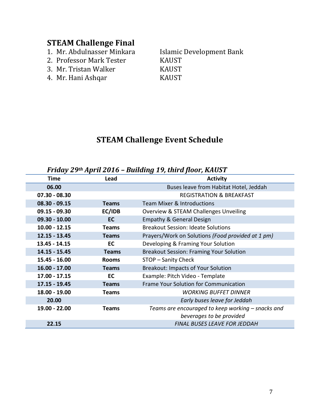# **STEAM Challenge Final**<br>1. Mr. Abdulnasser Minkara

- 
- 2. Professor Mark Tester KAUST
- 3. Mr. Tristan Walker KAUST
- 4. Mr. Hani Ashqar KAUST

Islamic Development Bank

#### **STEAM Challenge Event Schedule**

| Friday 29th April 2016 - Building 19, third floor, KAUST |              |                                                   |
|----------------------------------------------------------|--------------|---------------------------------------------------|
| Time                                                     | Lead         | <b>Activity</b>                                   |
| 06.00                                                    |              | Buses leave from Habitat Hotel, Jeddah            |
| $07.30 - 08.30$                                          |              | <b>REGISTRATION &amp; BREAKFAST</b>               |
| $08.30 - 09.15$                                          | <b>Teams</b> | <b>Team Mixer &amp; Introductions</b>             |
| 09.15 - 09.30                                            | EC/IDB       | Overview & STEAM Challenges Unveiling             |
| $09.30 - 10.00$                                          | <b>EC</b>    | <b>Empathy &amp; General Design</b>               |
| $10.00 - 12.15$                                          | <b>Teams</b> | <b>Breakout Session: Ideate Solutions</b>         |
| $12.15 - 13.45$                                          | <b>Teams</b> | Prayers/Work on Solutions (Food provided at 1 pm) |
| 13.45 - 14.15                                            | EC           | Developing & Framing Your Solution                |
| 14.15 - 15.45                                            | <b>Teams</b> | <b>Breakout Session: Framing Your Solution</b>    |
| 15.45 - 16.00                                            | <b>Rooms</b> | STOP - Sanity Check                               |
| $16.00 - 17.00$                                          | <b>Teams</b> | <b>Breakout: Impacts of Your Solution</b>         |
| 17.00 - 17.15                                            | <b>EC</b>    | Example: Pitch Video - Template                   |
| 17.15 - 19.45                                            | <b>Teams</b> | Frame Your Solution for Communication             |
| 18.00 - 19.00                                            | <b>Teams</b> | <b>WORKING BUFFET DINNER</b>                      |
| 20.00                                                    |              | Early buses leave for Jeddah                      |
| 19.00 - 22.00                                            | <b>Teams</b> | Teams are encouraged to keep working – snacks and |
|                                                          |              | beverages to be provided                          |
| 22.15                                                    |              | <b>FINAL BUSES LEAVE FOR JEDDAH</b>               |

*Friday 29th April 2016 – Building 19, third floor, KAUST*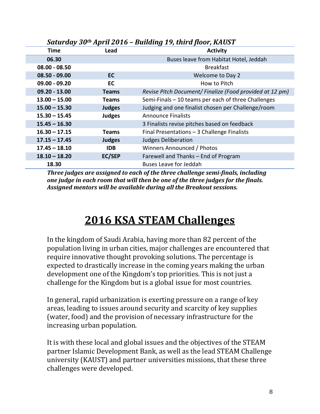| Jului uuy Ju    | $A$ <i>p</i> $\mu$ $\mu$ $\mu$ $\sigma$ $\mu$ | <b>Danally 17, third floor, into 31</b>                  |
|-----------------|-----------------------------------------------|----------------------------------------------------------|
| Time            | Lead                                          | <b>Activity</b>                                          |
| 06.30           |                                               | Buses leave from Habitat Hotel, Jeddah                   |
| $08.00 - 08.50$ |                                               | <b>Breakfast</b>                                         |
| $08.50 - 09.00$ | <b>EC</b>                                     | Welcome to Day 2                                         |
| $09.00 - 09.20$ | EC                                            | How to Pitch                                             |
| $09.20 - 13.00$ | <b>Teams</b>                                  | Revise Pitch Document/ Finalize (Food provided at 12 pm) |
| $13.00 - 15.00$ | <b>Teams</b>                                  | Semi-Finals - 10 teams per each of three Challenges      |
| $15.00 - 15.30$ | <b>Judges</b>                                 | Judging and one finalist chosen per Challenge/room       |
| $15.30 - 15.45$ | <b>Judges</b>                                 | <b>Announce Finalists</b>                                |
| $15.45 - 16.30$ |                                               | 3 Finalists revise pitches based on feedback             |
| $16.30 - 17.15$ | <b>Teams</b>                                  | Final Presentations - 3 Challenge Finalists              |
| $17.15 - 17.45$ | <b>Judges</b>                                 | <b>Judges Deliberation</b>                               |
| $17.45 - 18.10$ | <b>IDB</b>                                    | Winners Announced / Photos                               |
| $18.10 - 18.20$ | <b>EC/SEP</b>                                 | Farewell and Thanks - End of Program                     |
| 18.30           |                                               | <b>Buses Leave for Jeddah</b>                            |

*Saturday 30th April 2016 – Building 19, third floor, KAUST*

*Three judges are assigned to each of the three challenge semi-finals, including one judge in each room that will then be one of the three judges for the finals. Assigned mentors will be available during all the Breakout sessions.* 

# **2016 KSA STEAM Challenges**

In the kingdom of Saudi Arabia, having more than 82 percent of the population living in urban cities, major challenges are encountered that require innovative thought provoking solutions. The percentage is expected to drastically increase in the coming years making the urban development one of the Kingdom's top priorities. This is not just a challenge for the Kingdom but is a global issue for most countries.

In general, rapid urbanization is exerting pressure on a range of key areas, leading to issues around security and scarcity of key supplies (water, food) and the provision of necessary infrastructure for the increasing urban population.

It is with these local and global issues and the objectives of the STEAM partner Islamic Development Bank, as well as the lead STEAM Challenge university (KAUST) and partner universities missions, that these three challenges were developed.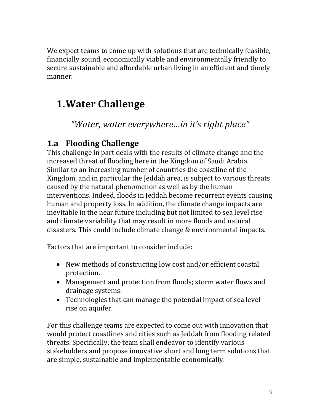We expect teams to come up with solutions that are technically feasible, financially sound, economically viable and environmentally friendly to secure sustainable and affordable urban living in an efficient and timely manner.

# **1.Water Challenge**

*"Water, water everywhere…in it's right place"*

#### **1.a Flooding Challenge**

This challenge in part deals with the results of climate change and the increased threat of flooding here in the Kingdom of Saudi Arabia. Similar to an increasing number of countries the coastline of the Kingdom, and in particular the Jeddah area, is subject to various threats caused by the natural phenomenon as well as by the human interventions. Indeed, floods in Jeddah become recurrent events causing human and property loss. In addition, the climate change impacts are inevitable in the near future including but not limited to sea level rise and climate variability that may result in more floods and natural disasters. This could include climate change & environmental impacts.

Factors that are important to consider include:

- New methods of constructing low cost and/or efficient coastal protection.
- Management and protection from floods; storm water flows and drainage systems.
- Technologies that can manage the potential impact of sea level rise on aquifer.

For this challenge teams are expected to come out with innovation that would protect coastlines and cities such as Jeddah from flooding related threats. Specifically, the team shall endeavor to identify various stakeholders and propose innovative short and long term solutions that are simple, sustainable and implementable economically.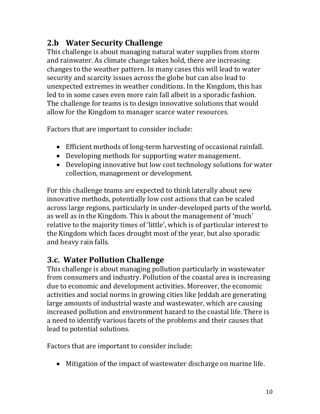### **2.b Water Security Challenge**

This challenge is about managing natural water supplies from storm and rainwater. As climate change takes hold, there are increasing changes to the weather pattern. In many cases this will lead to water security and scarcity issues across the globe but can also lead to unexpected extremes in weather conditions. In the Kingdom, this has led to in some cases even more rain fall albeit in a sporadic fashion. The challenge for teams is to design innovative solutions that would allow for the Kingdom to manager scarce water resources.

Factors that are important to consider include:

- Efficient methods of long-term harvesting of occasional rainfall.
- Developing methods for supporting water management.
- Developing innovative but low cost technology solutions for water collection, management or development.

For this challenge teams are expected to think laterally about new innovative methods, potentially low cost actions that can be scaled across large regions, particularly in under-developed parts of the world, as well as in the Kingdom. This is about the management of 'much' relative to the majority times of 'little', which is of particular interest to the Kingdom which faces drought most of the year, but also sporadic and heavy rain falls.

### **3.c. Water Pollution Challenge**

This challenge is about managing pollution particularly in wastewater from consumers and industry. Pollution of the coastal area is increasing due to economic and development activities. Moreover, the economic activities and social norms in growing cities like Jeddah are generating large amounts of industrial waste and wastewater, which are causing increased pollution and environment hazard to the coastal life. There is a need to identify various facets of the problems and their causes that lead to potential solutions.

Factors that are important to consider include:

Mitigation of the impact of wastewater discharge on marine life.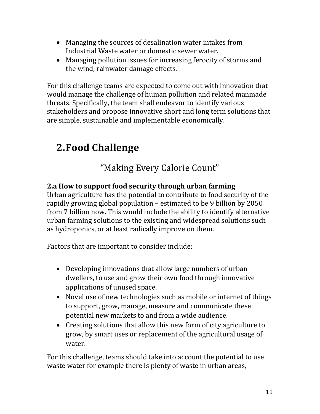- Managing the sources of desalination water intakes from Industrial Waste water or domestic sewer water.
- Managing pollution issues for increasing ferocity of storms and the wind, rainwater damage effects.

For this challenge teams are expected to come out with innovation that would manage the challenge of human pollution and related manmade threats. Specifically, the team shall endeavor to identify various stakeholders and propose innovative short and long term solutions that are simple, sustainable and implementable economically.

# **2.Food Challenge**

### "Making Every Calorie Count"

#### **2.a How to support food security through urban farming**

Urban agriculture has the potential to contribute to food security of the rapidly growing global population – estimated to be 9 billion by 2050 from 7 billion now. This would include the ability to identify alternative urban farming solutions to the existing and widespread solutions such as hydroponics, or at least radically improve on them.

Factors that are important to consider include:

- Developing innovations that allow large numbers of urban dwellers, to use and grow their own food through innovative applications of unused space.
- Novel use of new technologies such as mobile or internet of things to support, grow, manage, measure and communicate these potential new markets to and from a wide audience.
- Creating solutions that allow this new form of city agriculture to grow, by smart uses or replacement of the agricultural usage of water.

For this challenge, teams should take into account the potential to use waste water for example there is plenty of waste in urban areas,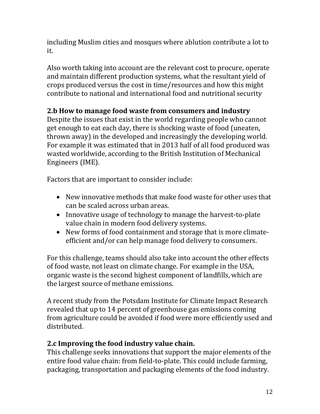including Muslim cities and mosques where ablution contribute a lot to it.

Also worth taking into account are the relevant cost to procure, operate and maintain different production systems, what the resultant yield of crops produced versus the cost in time/resources and how this might contribute to national and international food and nutritional security

#### **2.b How to manage food waste from consumers and industry**

Despite the issues that exist in the world regarding people who cannot get enough to eat each day, there is shocking waste of food (uneaten, thrown away) in the developed and increasingly the developing world. For example it was estimated that in 2013 half of all food produced was wasted worldwide, according to the British Institution of Mechanical Engineers (IME).

Factors that are important to consider include:

- New innovative methods that make food waste for other uses that can be scaled across urban areas.
- Innovative usage of technology to manage the harvest-to-plate value chain in modern food delivery systems.
- New forms of food containment and storage that is more climateefficient and/or can help manage food delivery to consumers.

For this challenge, teams should also take into account the other effects of food waste, not least on climate change. For example in the USA, organic waste is the second highest component of landfills, which are the largest source of methane emissions.

A recent study from the Potsdam Institute for Climate Impact Research revealed that up to 14 percent of greenhouse gas emissions coming from agriculture could be avoided if food were more efficiently used and distributed.

#### **2.c Improving the food industry value chain.**

This challenge seeks innovations that support the major elements of the entire food value chain: from field-to-plate. This could include farming, packaging, transportation and packaging elements of the food industry.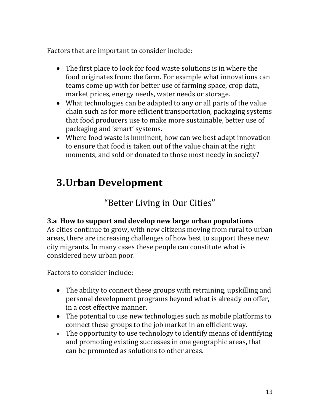Factors that are important to consider include:

- The first place to look for food waste solutions is in where the food originates from: the farm. For example what innovations can teams come up with for better use of farming space, crop data, market prices, energy needs, water needs or storage.
- What technologies can be adapted to any or all parts of the value chain such as for more efficient transportation, packaging systems that food producers use to make more sustainable, better use of packaging and 'smart' systems.
- Where food waste is imminent, how can we best adapt innovation to ensure that food is taken out of the value chain at the right moments, and sold or donated to those most needy in society?

# **3.Urban Development**

"Better Living in Our Cities"

#### **3.a How to support and develop new large urban populations**

As cities continue to grow, with new citizens moving from rural to urban areas, there are increasing challenges of how best to support these new city migrants. In many cases these people can constitute what is considered new urban poor.

Factors to consider include:

- The ability to connect these groups with retraining, upskilling and personal development programs beyond what is already on offer, in a cost effective manner.
- The potential to use new technologies such as mobile platforms to connect these groups to the job market in an efficient way.
- The opportunity to use technology to identify means of identifying and promoting existing successes in one geographic areas, that can be promoted as solutions to other areas.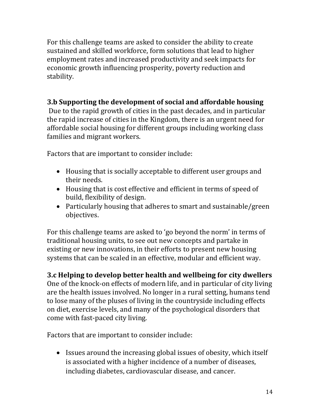For this challenge teams are asked to consider the ability to create sustained and skilled workforce, form solutions that lead to higher employment rates and increased productivity and seek impacts for economic growth influencing prosperity, poverty reduction and stability.

#### **3.b Supporting the development of social and affordable housing**

Due to the rapid growth of cities in the past decades, and in particular the rapid increase of cities in the Kingdom, there is an urgent need for affordable social housing for different groups including working class families and migrant workers.

Factors that are important to consider include:

- Housing that is socially acceptable to different user groups and their needs.
- Housing that is cost effective and efficient in terms of speed of build, flexibility of design.
- Particularly housing that adheres to smart and sustainable/green objectives.

For this challenge teams are asked to 'go beyond the norm' in terms of traditional housing units, to see out new concepts and partake in existing or new innovations, in their efforts to present new housing systems that can be scaled in an effective, modular and efficient way.

**3.c Helping to develop better health and wellbeing for city dwellers** One of the knock-on effects of modern life, and in particular of city living are the health issues involved. No longer in a rural setting, humans tend to lose many of the pluses of living in the countryside including effects on diet, exercise levels, and many of the psychological disorders that come with fast-paced city living.

Factors that are important to consider include:

• Issues around the increasing global issues of obesity, which itself is associated with a higher incidence of a number of diseases, including diabetes, cardiovascular disease, and cancer.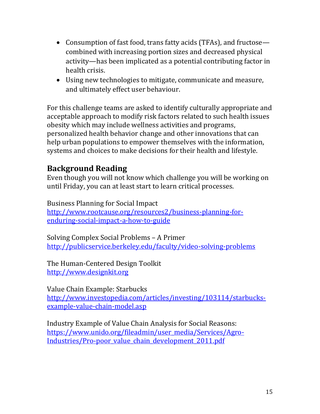- Consumption of fast food, trans fatty acids (TFAs), and fructose combined with increasing portion sizes and decreased physical activity—has been implicated as a potential contributing factor in health crisis.
- Using new technologies to mitigate, communicate and measure, and ultimately effect user behaviour.

For this challenge teams are asked to identify culturally appropriate and acceptable approach to modify risk factors related to such health issues obesity which may include wellness activities and programs, personalized health behavior change and other innovations that can help urban populations to empower themselves with the information, systems and choices to make decisions for their health and lifestyle.

#### **Background Reading**

Even though you will not know which challenge you will be working on until Friday, you can at least start to learn critical processes.

Business Planning for Social Impact [http://www.rootcause.org/resources2/business-planning-for](http://www.rootcause.org/resources2/business-planning-for-enduring-social-impact-a-how-to-guide)[enduring-social-impact-a-how-to-guide](http://www.rootcause.org/resources2/business-planning-for-enduring-social-impact-a-how-to-guide)

Solving Complex Social Problems – A Primer <http://publicservice.berkeley.edu/faculty/video-solving-problems>

The Human-Centered Design Toolkit [http://www.designkit.org](http://www.designkit.org/)

Value Chain Example: Starbucks [http://www.investopedia.com/articles/investing/103114/starbucks](http://www.investopedia.com/articles/investing/103114/starbucks-example-value-chain-model.asp)[example-value-chain-model.asp](http://www.investopedia.com/articles/investing/103114/starbucks-example-value-chain-model.asp)

Industry Example of Value Chain Analysis for Social Reasons: [https://www.unido.org/fileadmin/user\\_media/Services/Agro-](https://www.unido.org/fileadmin/user_media/Services/Agro-Industries/Pro-poor_value_chain_development_2011.pdf)[Industries/Pro-poor\\_value\\_chain\\_development\\_2011.pdf](https://www.unido.org/fileadmin/user_media/Services/Agro-Industries/Pro-poor_value_chain_development_2011.pdf)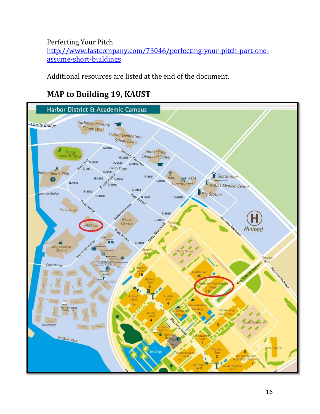Perfecting Your Pitch [http://www.fastcompany.com/73046/perfecting-your-pitch-part-one](http://www.fastcompany.com/73046/perfecting-your-pitch-part-one-assume-short-buildings)[assume-short-buildings](http://www.fastcompany.com/73046/perfecting-your-pitch-part-one-assume-short-buildings)

Additional resources are listed at the end of the document.

## **MAP to Building 19, KAUST**

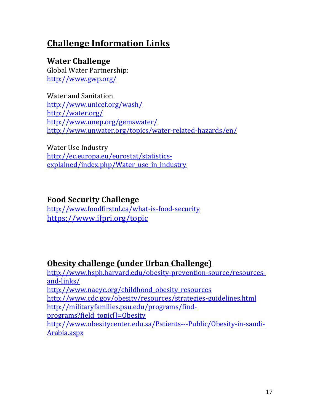# **Challenge Information Links**

#### **Water Challenge**

Global Water Partnership: <http://www.gwp.org/>

Water and Sanitation <http://www.unicef.org/wash/> <http://water.org/> <http://www.unep.org/gemswater/> <http://www.unwater.org/topics/water-related-hazards/en/>

Water Use Industry [http://ec.europa.eu/eurostat/statistics](http://ec.europa.eu/eurostat/statistics-explained/index.php/Water_use_in_industry)explained/index.php/Water use in industry

#### **Food Security Challenge**

<http://www.foodfirstnl.ca/what-is-food-security> <https://www.ifpri.org/topic>

### **Obesity challenge (under Urban Challenge)**

[http://www.hsph.harvard.edu/obesity-prevention-source/resources](http://www.hsph.harvard.edu/obesity-prevention-source/resources-and-links/)[and-links/](http://www.hsph.harvard.edu/obesity-prevention-source/resources-and-links/) [http://www.naeyc.org/childhood\\_obesity\\_resources](http://www.naeyc.org/childhood_obesity_resources) http://www.cdc.gov/obesity/resources/strategies-guidelines.html [http://militaryfamilies.psu.edu/programs/find](http://militaryfamilies.psu.edu/programs/find-programs?field_topic%5b%5d=Obesity)[programs?field\\_topic\[\]=Obesity](http://militaryfamilies.psu.edu/programs/find-programs?field_topic%5b%5d=Obesity) http://www.obesitycenter.edu.sa/Patients---Public/Obesity-in-saudi-Arabia.aspx